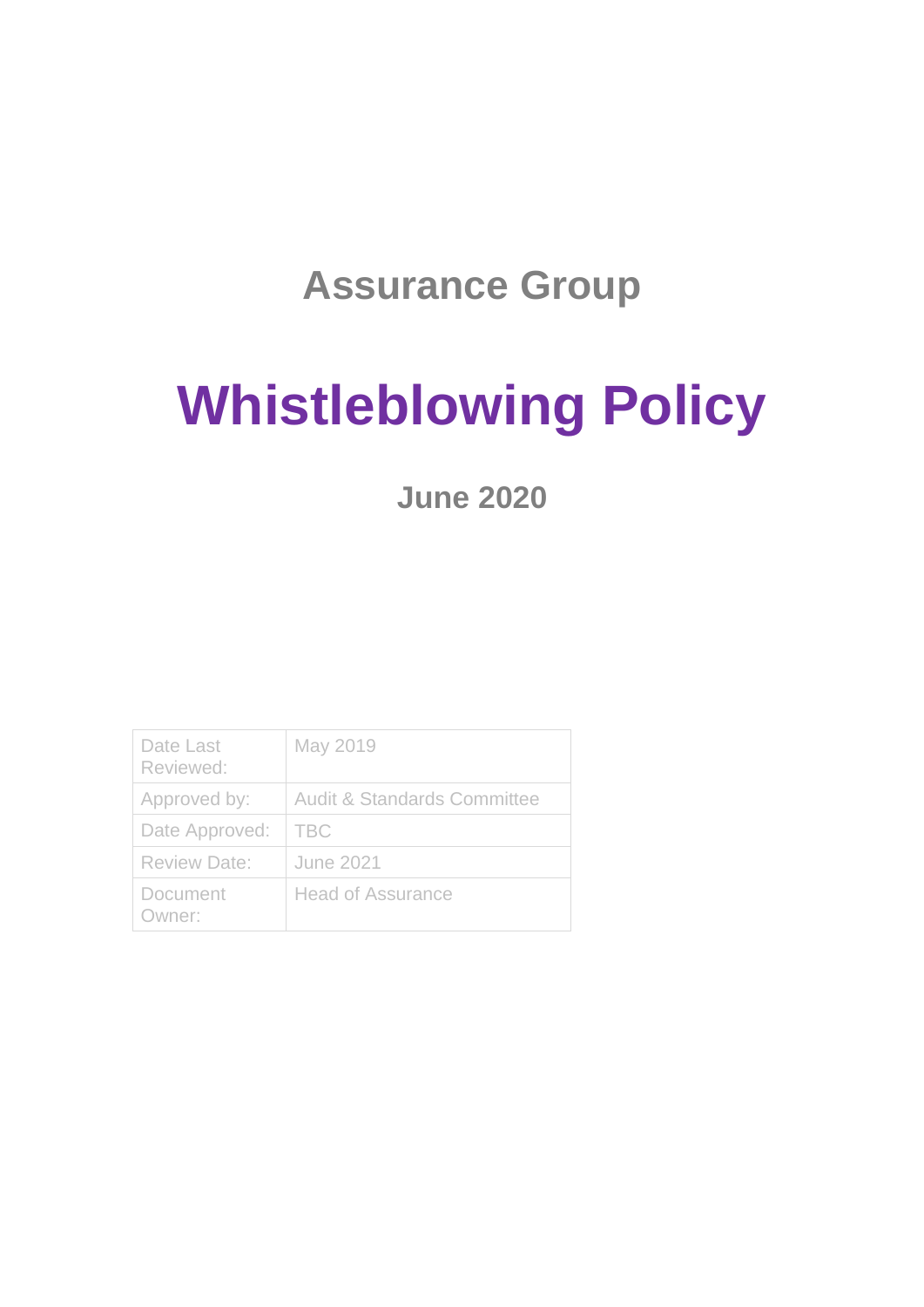### **Assurance Group**

# **Whistleblowing Policy**

**June 2020**

| Date Last<br>Reviewed: | May 2019                               |
|------------------------|----------------------------------------|
| Approved by:           | <b>Audit &amp; Standards Committee</b> |
| Date Approved:         | <b>TBC</b>                             |
| <b>Review Date:</b>    | June 2021                              |
| Document<br>Owner:     | <b>Head of Assurance</b>               |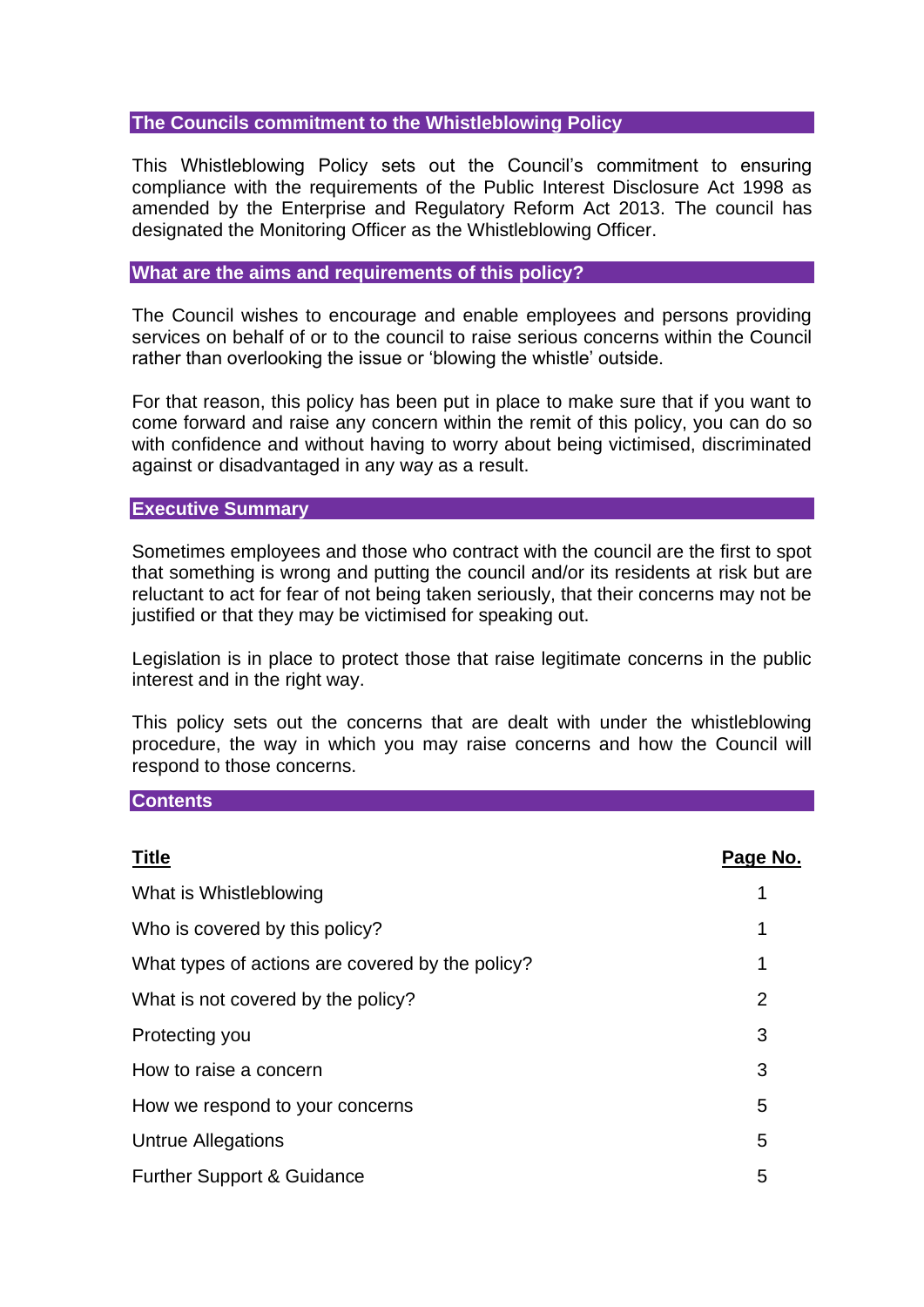#### **The Councils commitment to the Whistleblowing Policy**

This Whistleblowing Policy sets out the Council's commitment to ensuring compliance with the requirements of the Public Interest Disclosure Act 1998 as amended by the Enterprise and Regulatory Reform Act 2013. The council has designated the Monitoring Officer as the Whistleblowing Officer.

#### **What are the aims and requirements of this policy?**

The Council wishes to encourage and enable employees and persons providing services on behalf of or to the council to raise serious concerns within the Council rather than overlooking the issue or 'blowing the whistle' outside.

For that reason, this policy has been put in place to make sure that if you want to come forward and raise any concern within the remit of this policy, you can do so with confidence and without having to worry about being victimised, discriminated against or disadvantaged in any way as a result.

#### **Executive Summary**

Sometimes employees and those who contract with the council are the first to spot that something is wrong and putting the council and/or its residents at risk but are reluctant to act for fear of not being taken seriously, that their concerns may not be justified or that they may be victimised for speaking out.

Legislation is in place to protect those that raise legitimate concerns in the public interest and in the right way.

This policy sets out the concerns that are dealt with under the whistleblowing procedure, the way in which you may raise concerns and how the Council will respond to those concerns.

#### **Contents**

| <b>Title</b>                                     | Page No. |
|--------------------------------------------------|----------|
| What is Whistleblowing                           |          |
| Who is covered by this policy?                   | 1        |
| What types of actions are covered by the policy? | 1        |
| What is not covered by the policy?               | 2        |
| Protecting you                                   | 3        |
| How to raise a concern                           | 3        |
| How we respond to your concerns                  | 5        |
| Untrue Allegations                               | 5        |
| <b>Further Support &amp; Guidance</b>            | 5        |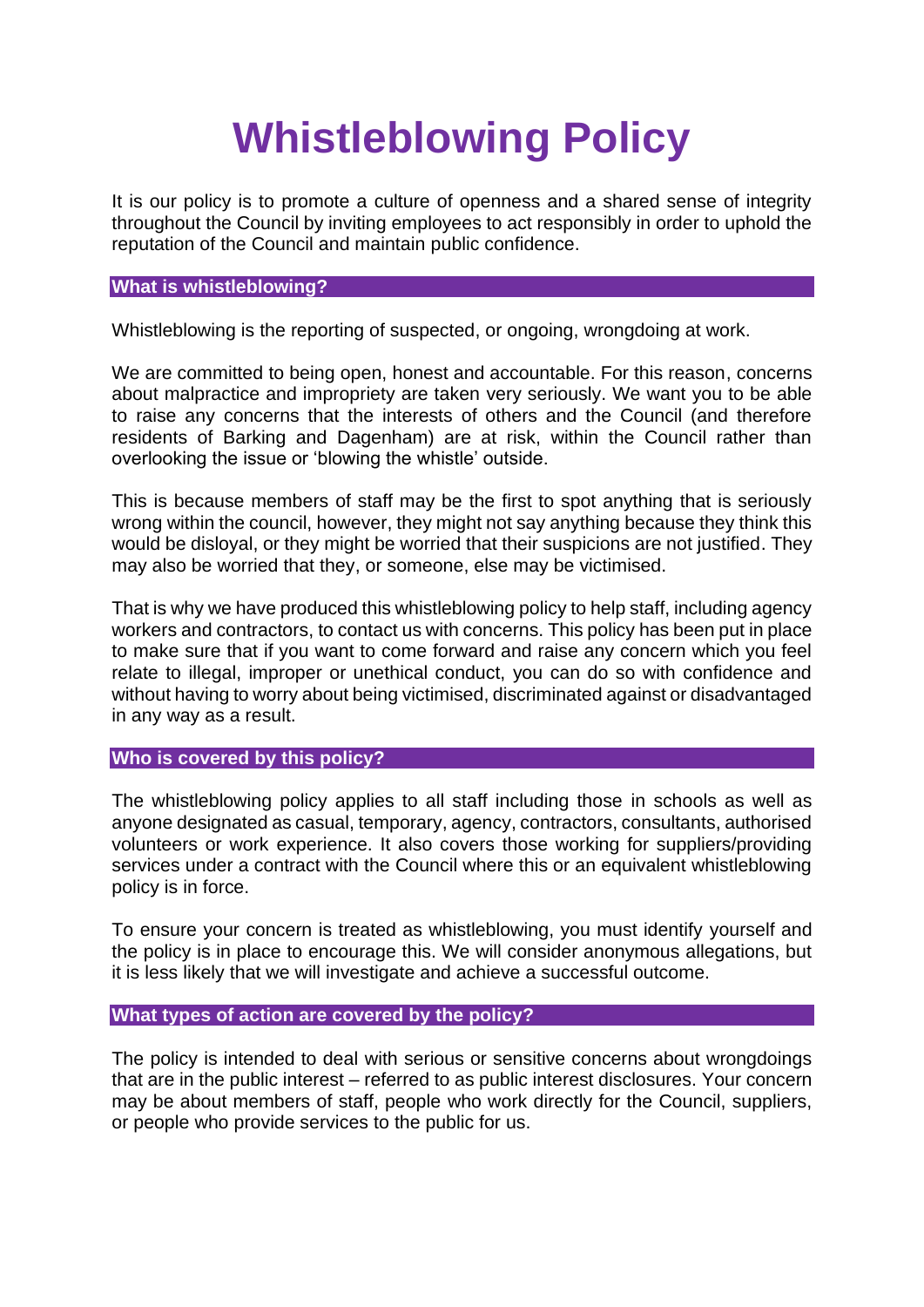## **Whistleblowing Policy**

It is our policy is to promote a culture of openness and a shared sense of integrity throughout the Council by inviting employees to act responsibly in order to uphold the reputation of the Council and maintain public confidence.

#### **What is whistleblowing?**

Whistleblowing is the reporting of suspected, or ongoing, wrongdoing at work.

We are committed to being open, honest and accountable. For this reason, concerns about malpractice and impropriety are taken very seriously. We want you to be able to raise any concerns that the interests of others and the Council (and therefore residents of Barking and Dagenham) are at risk, within the Council rather than overlooking the issue or 'blowing the whistle' outside.

This is because members of staff may be the first to spot anything that is seriously wrong within the council, however, they might not say anything because they think this would be disloyal, or they might be worried that their suspicions are not justified. They may also be worried that they, or someone, else may be victimised.

That is why we have produced this whistleblowing policy to help staff, including agency workers and contractors, to contact us with concerns. This policy has been put in place to make sure that if you want to come forward and raise any concern which you feel relate to illegal, improper or unethical conduct, you can do so with confidence and without having to worry about being victimised, discriminated against or disadvantaged in any way as a result.

#### **Who is covered by this policy?**

The whistleblowing policy applies to all staff including those in schools as well as anyone designated as casual, temporary, agency, contractors, consultants, authorised volunteers or work experience. It also covers those working for suppliers/providing services under a contract with the Council where this or an equivalent whistleblowing policy is in force.

To ensure your concern is treated as whistleblowing, you must identify yourself and the policy is in place to encourage this. We will consider anonymous allegations, but it is less likely that we will investigate and achieve a successful outcome.

#### **What types of action are covered by the policy?**

The policy is intended to deal with serious or sensitive concerns about wrongdoings that are in the public interest – referred to as public interest disclosures. Your concern may be about members of staff, people who work directly for the Council, suppliers, or people who provide services to the public for us.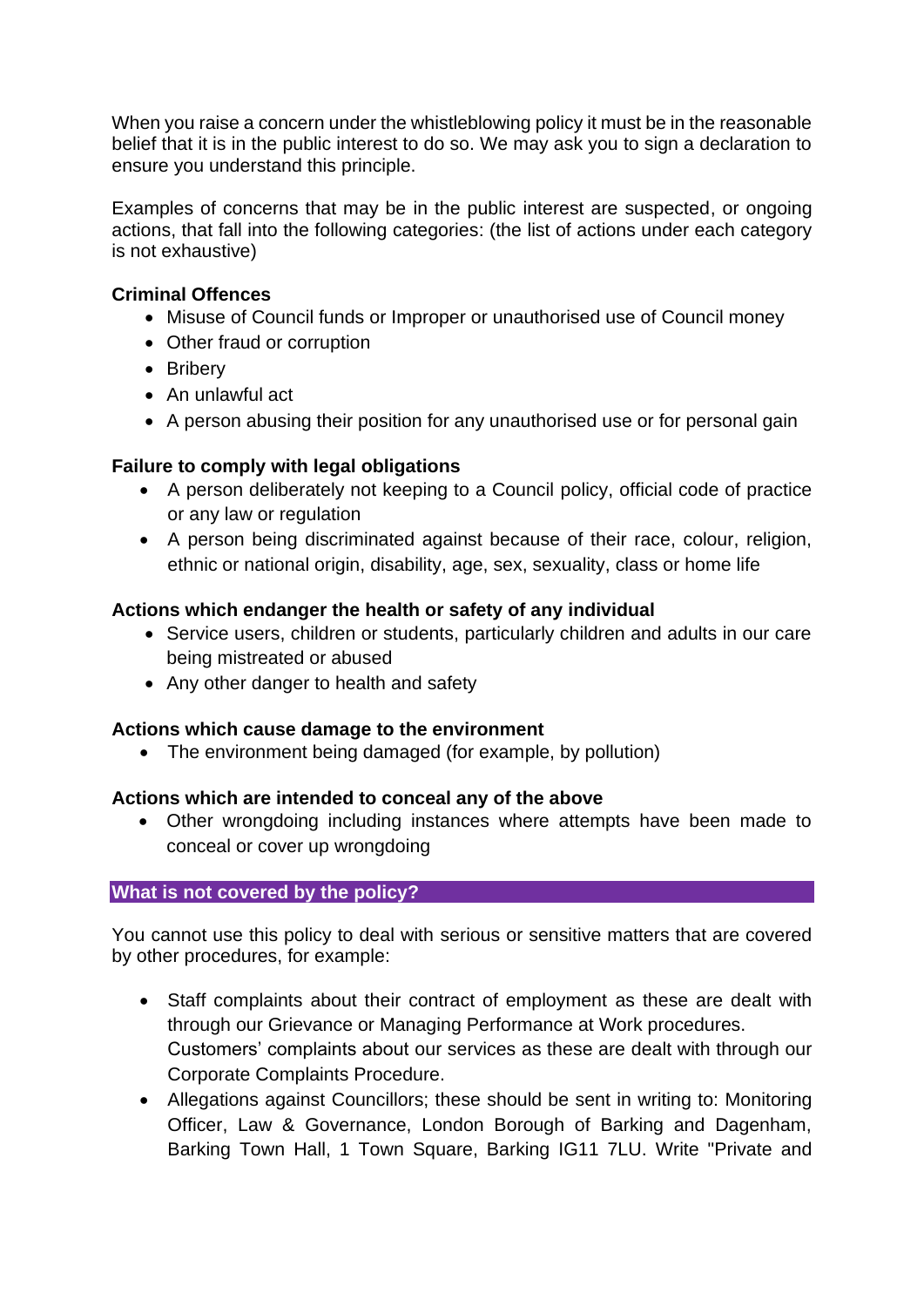When you raise a concern under the whistleblowing policy it must be in the reasonable belief that it is in the public interest to do so. We may ask you to sign a declaration to ensure you understand this principle.

Examples of concerns that may be in the public interest are suspected, or ongoing actions, that fall into the following categories: (the list of actions under each category is not exhaustive)

#### **Criminal Offences**

- Misuse of Council funds or Improper or unauthorised use of Council money
- Other fraud or corruption
- Bribery
- An unlawful act
- A person abusing their position for any unauthorised use or for personal gain

#### **Failure to comply with legal obligations**

- A person deliberately not keeping to a Council policy, official code of practice or any law or regulation
- A person being discriminated against because of their race, colour, religion, ethnic or national origin, disability, age, sex, sexuality, class or home life

#### **Actions which endanger the health or safety of any individual**

- Service users, children or students, particularly children and adults in our care being mistreated or abused
- Any other danger to health and safety

#### **Actions which cause damage to the environment**

• The environment being damaged (for example, by pollution)

#### **Actions which are intended to conceal any of the above**

• Other wrongdoing including instances where attempts have been made to conceal or cover up wrongdoing

#### **What is not covered by the policy?**

You cannot use this policy to deal with serious or sensitive matters that are covered by other procedures, for example:

- Staff complaints about their contract of employment as these are dealt with through our Grievance or Managing Performance at Work procedures. Customers' complaints about our services as these are dealt with through our Corporate Complaints Procedure.
- Allegations against Councillors; these should be sent in writing to: Monitoring Officer, Law & Governance, London Borough of Barking and Dagenham, Barking Town Hall, 1 Town Square, Barking IG11 7LU. Write "Private and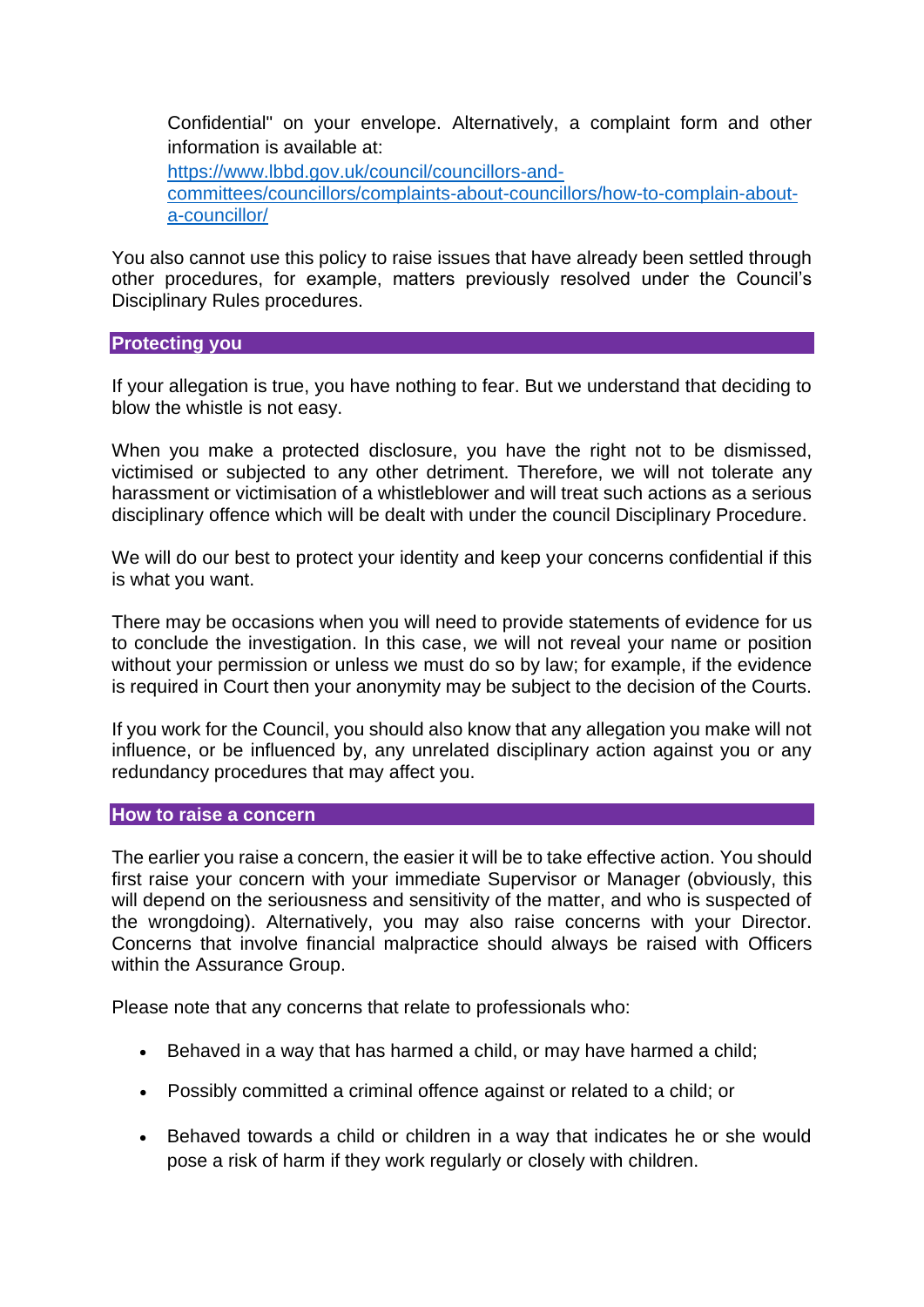Confidential" on your envelope. Alternatively, a complaint form and other information is available at: [https://www.lbbd.gov.uk/council/councillors-and](https://www.lbbd.gov.uk/council/councillors-and-committees/councillors/complaints-about-councillors/how-to-complain-about-a-councillor/)[committees/councillors/complaints-about-councillors/how-to-complain-about](https://www.lbbd.gov.uk/council/councillors-and-committees/councillors/complaints-about-councillors/how-to-complain-about-a-councillor/)[a-councillor/](https://www.lbbd.gov.uk/council/councillors-and-committees/councillors/complaints-about-councillors/how-to-complain-about-a-councillor/) 

You also cannot use this policy to raise issues that have already been settled through other procedures, for example, matters previously resolved under the Council's Disciplinary Rules procedures.

#### **Protecting you**

If your allegation is true, you have nothing to fear. But we understand that deciding to blow the whistle is not easy.

When you make a protected disclosure, you have the right not to be dismissed, victimised or subjected to any other detriment. Therefore, we will not tolerate any harassment or victimisation of a whistleblower and will treat such actions as a serious disciplinary offence which will be dealt with under the council Disciplinary Procedure.

We will do our best to protect your identity and keep your concerns confidential if this is what you want.

There may be occasions when you will need to provide statements of evidence for us to conclude the investigation. In this case, we will not reveal your name or position without your permission or unless we must do so by law; for example, if the evidence is required in Court then your anonymity may be subject to the decision of the Courts.

If you work for the Council, you should also know that any allegation you make will not influence, or be influenced by, any unrelated disciplinary action against you or any redundancy procedures that may affect you.

#### **How to raise a concern**

The earlier you raise a concern, the easier it will be to take effective action. You should first raise your concern with your immediate Supervisor or Manager (obviously, this will depend on the seriousness and sensitivity of the matter, and who is suspected of the wrongdoing). Alternatively, you may also raise concerns with your Director. Concerns that involve financial malpractice should always be raised with Officers within the Assurance Group.

Please note that any concerns that relate to professionals who:

- Behaved in a way that has harmed a child, or may have harmed a child;
- Possibly committed a criminal offence against or related to a child; or
- Behaved towards a child or children in a way that indicates he or she would pose a risk of harm if they work regularly or closely with children.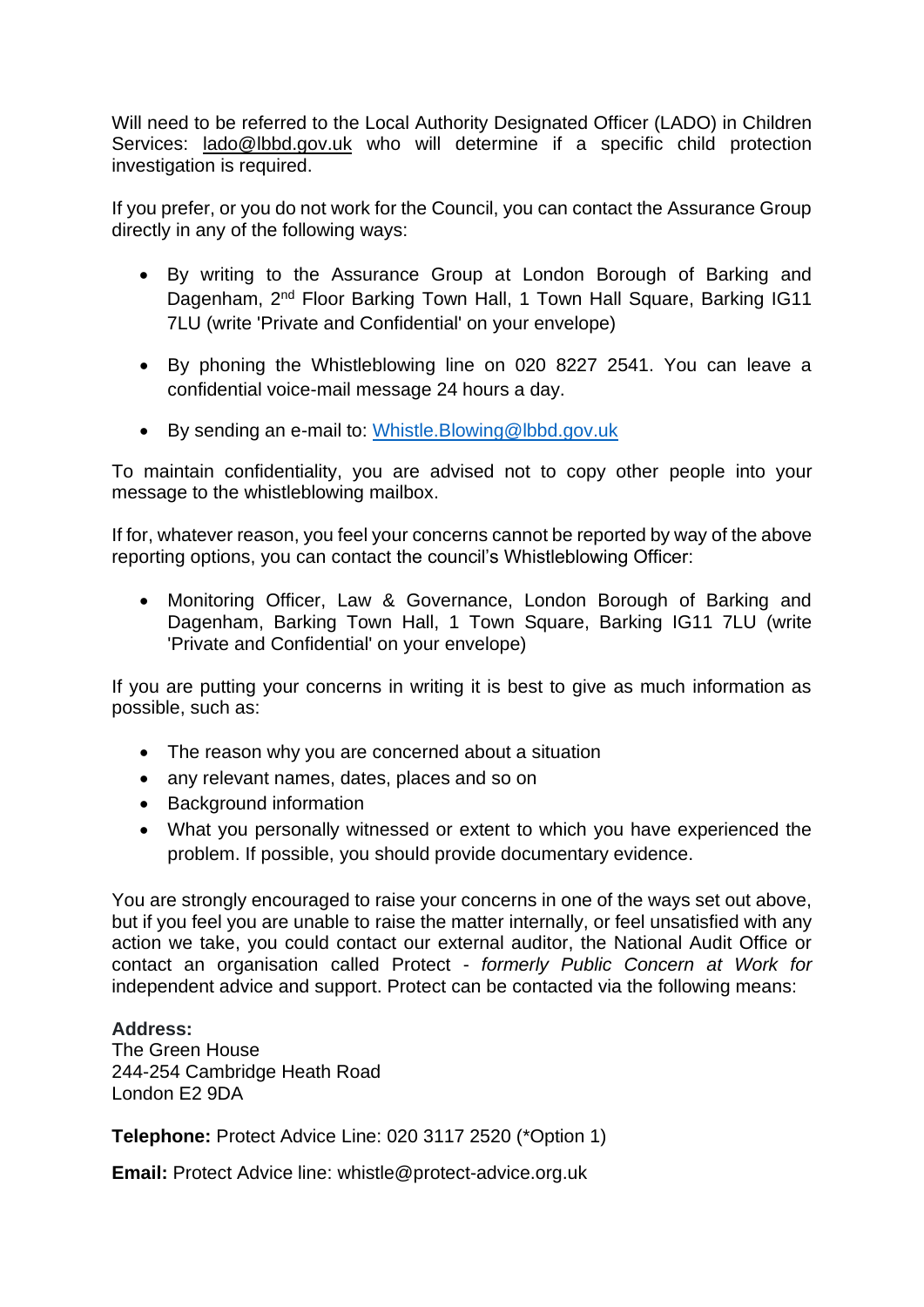Will need to be referred to the Local Authority Designated Officer (LADO) in Children Services: [lado@lbbd.gov.uk](mailto:lado@lbbd.gov.uk) who will determine if a specific child protection investigation is required.

If you prefer, or you do not work for the Council, you can contact the Assurance Group directly in any of the following ways:

- By writing to the Assurance Group at London Borough of Barking and Dagenham, 2nd Floor Barking Town Hall, 1 Town Hall Square, Barking IG11 7LU (write 'Private and Confidential' on your envelope)
- By phoning the Whistleblowing line on 020 8227 2541. You can leave a confidential voice-mail message 24 hours a day.
- By sending an e-mail to: [Whistle.Blowing@lbbd.gov.uk](mailto:Whistle.Blowing@lbbd.gov.uk)

To maintain confidentiality, you are advised not to copy other people into your message to the whistleblowing mailbox.

If for, whatever reason, you feel your concerns cannot be reported by way of the above reporting options, you can contact the council's Whistleblowing Officer:

• Monitoring Officer, Law & Governance, London Borough of Barking and Dagenham, Barking Town Hall, 1 Town Square, Barking IG11 7LU (write 'Private and Confidential' on your envelope)

If you are putting your concerns in writing it is best to give as much information as possible, such as:

- The reason why you are concerned about a situation
- any relevant names, dates, places and so on
- Background information
- What you personally witnessed or extent to which you have experienced the problem. If possible, you should provide documentary evidence.

You are strongly encouraged to raise your concerns in one of the ways set out above, but if you feel you are unable to raise the matter internally, or feel unsatisfied with any action we take, you could contact our external auditor, the National Audit Office or contact an organisation called Protect - *formerly Public Concern at Work for*  independent advice and support. Protect can be contacted via the following means:

#### **Address:**

The Green House 244-254 Cambridge Heath Road London E2 9DA

**Telephone:** Protect Advice Line: 020 3117 2520 (\*Option 1)

**Email:** Protect Advice line: [whistle@protect-advice.org.uk](mailto:whistle@protect-advice.org.uk)